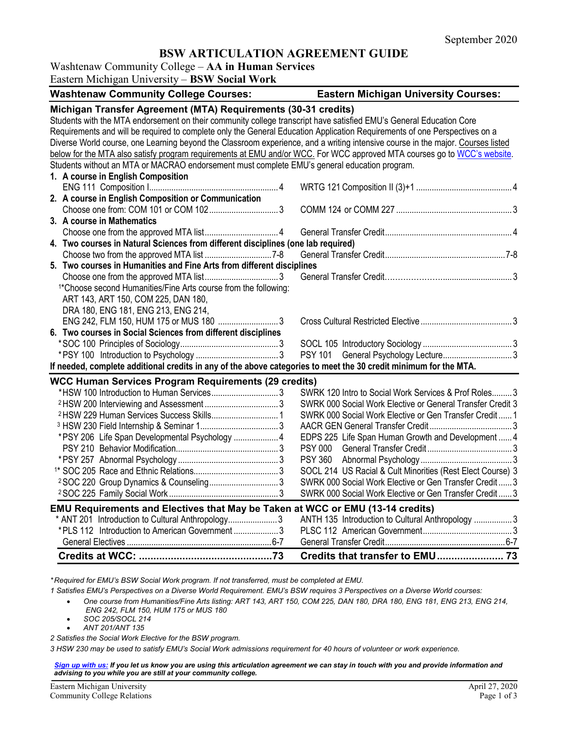# **BSW ARTICULATION AGREEMENT GUIDE**

### Washtenaw Community College – **AA in Human Services**

Eastern Michigan University – **BSW Social Work**

| <b>Washtenaw Community College Courses:</b>                                                                                     | <b>Eastern Michigan University Courses:</b>                |
|---------------------------------------------------------------------------------------------------------------------------------|------------------------------------------------------------|
| Michigan Transfer Agreement (MTA) Requirements (30-31 credits)                                                                  |                                                            |
| Students with the MTA endorsement on their community college transcript have satisfied EMU's General Education Core             |                                                            |
| Requirements and will be required to complete only the General Education Application Requirements of one Perspectives on a      |                                                            |
| Diverse World course, one Learning beyond the Classroom experience, and a writing intensive course in the major. Courses listed |                                                            |
| below for the MTA also satisfy program requirements at EMU and/or WCC. For WCC approved MTA courses go to WCC's website.        |                                                            |
| Students without an MTA or MACRAO endorsement must complete EMU's general education program.                                    |                                                            |
| 1. A course in English Composition                                                                                              |                                                            |
|                                                                                                                                 |                                                            |
| 2. A course in English Composition or Communication                                                                             |                                                            |
|                                                                                                                                 |                                                            |
| 3. A course in Mathematics                                                                                                      |                                                            |
|                                                                                                                                 |                                                            |
| 4. Two courses in Natural Sciences from different disciplines (one lab required)                                                |                                                            |
|                                                                                                                                 |                                                            |
| 5. Two courses in Humanities and Fine Arts from different disciplines                                                           |                                                            |
|                                                                                                                                 |                                                            |
| <sup>1*</sup> Choose second Humanities/Fine Arts course from the following:                                                     |                                                            |
| ART 143, ART 150, COM 225, DAN 180,                                                                                             |                                                            |
| DRA 180, ENG 181, ENG 213, ENG 214,                                                                                             |                                                            |
| ENG 242, FLM 150, HUM 175 or MUS 180 3                                                                                          |                                                            |
| 6. Two courses in Social Sciences from different disciplines                                                                    |                                                            |
|                                                                                                                                 |                                                            |
|                                                                                                                                 | <b>PSY 101</b>                                             |
| If needed, complete additional credits in any of the above categories to meet the 30 credit minimum for the MTA.                |                                                            |
| <b>WCC Human Services Program Requirements (29 credits)</b>                                                                     |                                                            |
| *HSW 100 Introduction to Human Services3                                                                                        | SWRK 120 Intro to Social Work Services & Prof Roles 3      |
|                                                                                                                                 | SWRK 000 Social Work Elective or General Transfer Credit 3 |
|                                                                                                                                 | SWRK 000 Social Work Elective or Gen Transfer Credit 1     |
|                                                                                                                                 |                                                            |
| *PSY 206 Life Span Developmental Psychology  4                                                                                  | EDPS 225 Life Span Human Growth and Development  4         |
|                                                                                                                                 |                                                            |
|                                                                                                                                 |                                                            |
|                                                                                                                                 | SOCL 214 US Racial & Cult Minorities (Rest Elect Course) 3 |
|                                                                                                                                 | SWRK 000 Social Work Elective or Gen Transfer Credit 3     |
|                                                                                                                                 | SWRK 000 Social Work Elective or Gen Transfer Credit 3     |
|                                                                                                                                 |                                                            |
| EMU Requirements and Electives that May be Taken at WCC or EMU (13-14 credits)                                                  |                                                            |
| * ANT 201 Introduction to Cultural Anthropology3                                                                                | ANTH 135 Introduction to Cultural Anthropology 3           |
| *PLS 112 Introduction to American Government 3                                                                                  |                                                            |
|                                                                                                                                 |                                                            |
|                                                                                                                                 | Credits that transfer to EMU 73                            |

*\* Required for EMU's BSW Social Work program. If not transferred, must be completed at EMU.*

- *1 Satisfies EMU's Perspectives on a Diverse World Requirement. EMU's BSW requires 3 Perspectives on a Diverse World courses:*
	- *One course from Humanities/Fine Arts listing: ART 143, ART 150, COM 225, DAN 180, DRA 180, ENG 181, ENG 213, ENG 214, ENG 242, FLM 150, HUM 175 or MUS 180*
	- *SOC 205/SOCL 214* • *ANT 201/ANT 135*
- *2 Satisfies the Social Work Elective for the BSW program.*

*3 HSW 230 may be used to satisfy EMU's Social Work admissions requirement for 40 hours of volunteer or work experience.*

#### *[Sign up with us:](https://www.emich.edu/ccr/articulation-agreements/signup.php) If you let us know you are using this articulation agreement we can stay in touch with you and provide information and advising to you while you are still at your community college.*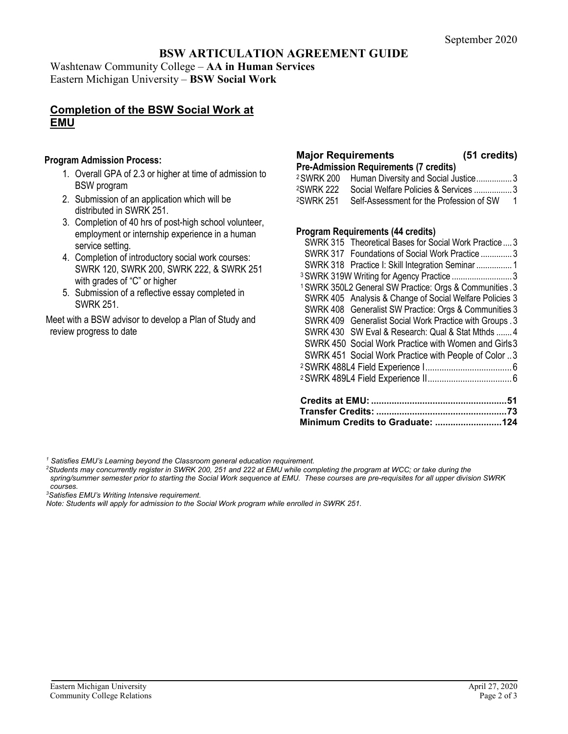# **BSW ARTICULATION AGREEMENT GUIDE**

Washtenaw Community College – **AA in Human Services** Eastern Michigan University – **BSW Social Work**

## **Completion of the BSW Social Work at EMU**

#### **Program Admission Process:**

- 1. Overall GPA of 2.3 or higher at time of admission to BSW program
- 2. Submission of an application which will be distributed in SWRK 251.
- 3. Completion of 40 hrs of post-high school volunteer, employment or internship experience in a human service setting.
- 4. Completion of introductory social work courses: SWRK 120, SWRK 200, SWRK 222, & SWRK 251 with grades of "C" or higher
- 5. Submission of a reflective essay completed in SWRK 251.

Meet with a BSW advisor to develop a Plan of Study and review progress to date

# **Major Requirements** (51

| 51 credits) |  |
|-------------|--|
|             |  |

**Pre-Admission Requirements (7 credits)**

| <sup>2</sup> SWRK 200 | Human Diversity and Social Justice3                            |   |
|-----------------------|----------------------------------------------------------------|---|
|                       | <sup>2</sup> SWRK 222    Social Welfare Policies & Services 3  |   |
|                       | <sup>2</sup> SWRK 251 Self-Assessment for the Profession of SW | 1 |

#### **Program Requirements (44 credits)**

| SWRK 451 Social Work Practice with People of Color 3                |  |
|---------------------------------------------------------------------|--|
| SWRK 450 Social Work Practice with Women and Girls 3                |  |
| SWRK 430 SW Eval & Research: Qual & Stat Mthds  4                   |  |
| SWRK 409 Generalist Social Work Practice with Groups . 3            |  |
| SWRK 408 Generalist SW Practice: Orgs & Communities 3               |  |
| SWRK 405 Analysis & Change of Social Welfare Policies 3             |  |
| <sup>1</sup> SWRK 350L2 General SW Practice: Orgs & Communities . 3 |  |
| <sup>3</sup> SWRK 319W Writing for Agency Practice  3               |  |
| SWRK 318 Practice I: Skill Integration Seminar  1                   |  |
| SWRK 317 Foundations of Social Work Practice 3                      |  |
| SWRK 315 Theoretical Bases for Social Work Practice 3               |  |
|                                                                     |  |

*<sup>1</sup> Satisfies EMU's Learning beyond the Classroom general education requirement.*

*2 Students may concurrently register in SWRK 200, 251 and 222 at EMU while completing the program at WCC; or take during the spring/summer semester prior to starting the Social Work sequence at EMU. These courses are pre-requisites for all upper division SWRK courses.* 

*3 Satisfies EMU's Writing Intensive requirement.*

*Note: Students will apply for admission to the Social Work program while enrolled in SWRK 251.*